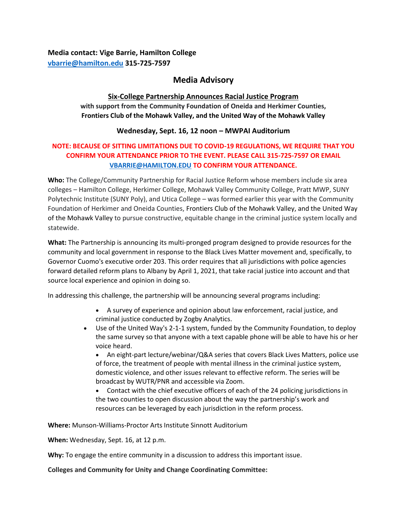**Media contact: Vige Barrie, Hamilton College [vbarrie@hamilton.edu](mailto:vbarrie@hamilton.edu) 315-725-7597**

# **Media Advisory**

#### **Six-College Partnership Announces Racial Justice Program**

**with support from the Community Foundation of Oneida and Herkimer Counties, Frontiers Club of the Mohawk Valley, and the United Way of the Mohawk Valley**

#### **Wednesday, Sept. 16, 12 noon – MWPAI Auditorium**

## **NOTE: BECAUSE OF SITTING LIMITATIONS DUE TO COVID-19 REGULATIONS, WE REQUIRE THAT YOU CONFIRM YOUR ATTENDANCE PRIOR TO THE EVENT. PLEASE CALL 315-725-7597 OR EMAIL [VBARRIE@HAMILTON.EDU](mailto:VBARRIE@HAMILTON.EDU) TO CONFIRM YOUR ATTENDANCE.**

**Who:** The College/Community Partnership for Racial Justice Reform whose members include six area colleges – Hamilton College, Herkimer College, Mohawk Valley Community College, Pratt MWP, SUNY Polytechnic Institute (SUNY Poly), and Utica College – was formed earlier this year with the Community Foundation of Herkimer and Oneida Counties, Frontiers Club of the Mohawk Valley, and the United Way of the Mohawk Valley to pursue constructive, equitable change in the criminal justice system locally and statewide.

**What:** The Partnership is announcing its multi-pronged program designed to provide resources for the community and local government in response to the Black Lives Matter movement and, specifically, to Governor Cuomo's executive order 203. This order requires that all jurisdictions with police agencies forward detailed reform plans to Albany by April 1, 2021, that take racial justice into account and that source local experience and opinion in doing so.

In addressing this challenge, the partnership will be announcing several programs including:

- A survey of experience and opinion about law enforcement, racial justice, and criminal justice conducted by Zogby Analytics.
- Use of the United Way's 2-1-1 system, funded by the Community Foundation, to deploy the same survey so that anyone with a text capable phone will be able to have his or her voice heard.

 An eight-part lecture/webinar/Q&A series that covers Black Lives Matters, police use of force, the treatment of people with mental illness in the criminal justice system, domestic violence, and other issues relevant to effective reform. The series will be broadcast by WUTR/PNR and accessible via Zoom.

 Contact with the chief executive officers of each of the 24 policing jurisdictions in the two counties to open discussion about the way the partnership's work and resources can be leveraged by each jurisdiction in the reform process.

**Where:** Munson-Williams-Proctor Arts Institute Sinnott Auditorium

**When:** Wednesday, Sept. 16, at 12 p.m.

**Why:** To engage the entire community in a discussion to address this important issue.

**Colleges and Community for Unity and Change Coordinating Committee:**